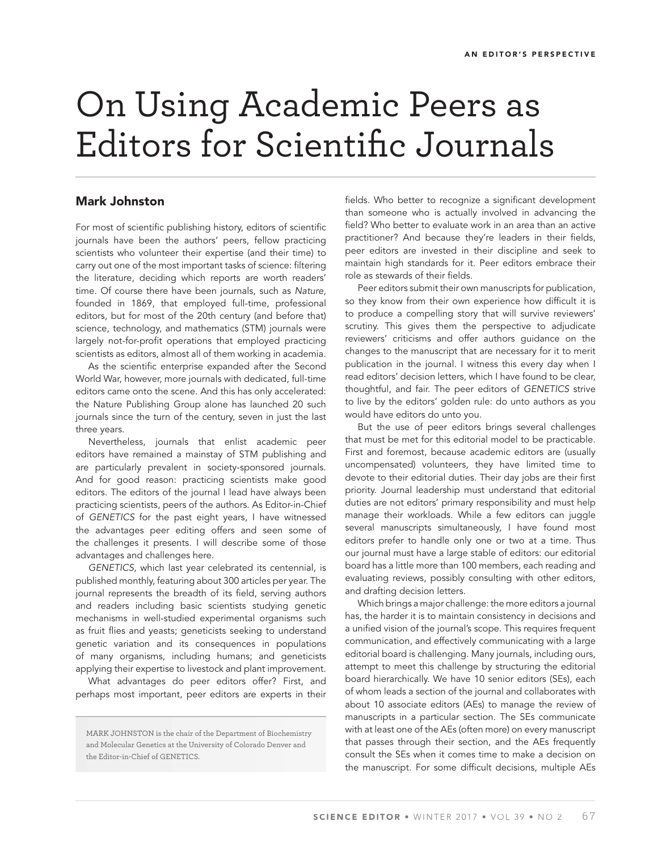## On Using Academic Peers as Editors for Scientific Journals

## **Mark Johnston**

For most of scientific publishing history, editors of scientific journals have been the authors' peers, fellow practicing scientists who volunteer their expertise (and their time) to carry out one of the most important tasks of science: filtering the literature, deciding which reports are worth readers' time. Of course there have been journals, such as Nature, founded in 1869, that employed full-time, professional editors, but for most of the 20th century (and before that) science, technology, and mathematics (STM) journals were largely not-for-profit operations that employed practicing scientists as editors, almost all of them working in academia.

As the scientific enterprise expanded after the Second World War, however, more journals with dedicated, full-time editors came onto the scene. And this has only accelerated: the Nature Publishing Group alone has launched 20 such journals since the turn of the century, seven in just the last three years.

Nevertheless, journals that enlist academic peer editors have remained a mainstay of STM publishing and are particularly prevalent in society-sponsored journals. And for good reason: practicing scientists make good editors. The editors of the journal I lead have always been practicing scientists, peers of the authors. As Editor-in-Chief of GENETICS for the past eight years, I have witnessed the advantages peer editing offers and seen some of the challenges it presents. I will describe some of those advantages and challenges here.

GENETICS, which last year celebrated its centennial, is published monthly, featuring about 300 articles per year. The journal represents the breadth of its field, serving authors and readers including basic scientists studying genetic mechanisms in well-studied experimental organisms such as fruit flies and yeasts; geneticists seeking to understand genetic variation and its consequences in populations of many organisms, including humans; and geneticists applying their expertise to livestock and plant improvement.

What advantages do peer editors offer? First, and perhaps most important, peer editors are experts in their

MARK JOHNSTON is the chair of the Department of Biochemistry and Molecular Genetics at the University of Colorado Denver and the Editor-in-Chief of GENETICS.

fields. Who better to recognize a significant development than someone who is actually involved in advancing the field? Who better to evaluate work in an area than an active practitioner? And because they're leaders in their fields, peer editors are invested in their discipline and seek to maintain high standards for it. Peer editors embrace their role as stewards of their fields.

Peer editors submit their own manuscripts for publication, so they know from their own experience how difficult it is to produce a compelling story that will survive reviewers' scrutiny. This gives them the perspective to adjudicate reviewers' criticisms and offer authors guidance on the changes to the manuscript that are necessary for it to merit publication in the journal. I witness this every day when I read editors' decision letters, which I have found to be clear, thoughtful, and fair. The peer editors of GENETICS strive to live by the editors' golden rule: do unto authors as you would have editors do unto you.

But the use of peer editors brings several challenges that must be met for this editorial model to be practicable. First and foremost, because academic editors are (usually uncompensated) volunteers, they have limited time to devote to their editorial duties. Their day jobs are their first priority. Journal leadership must understand that editorial duties are not editors' primary responsibility and must help manage their workloads. While a few editors can juggle several manuscripts simultaneously, I have found most editors prefer to handle only one or two at a time. Thus our journal must have a large stable of editors: our editorial board has a little more than 100 members, each reading and evaluating reviews, possibly consulting with other editors, and drafting decision letters.

Which brings a major challenge: the more editors a journal has, the harder it is to maintain consistency in decisions and a unified vision of the journal's scope. This requires frequent communication, and effectively communicating with a large editorial board is challenging. Many journals, including ours, attempt to meet this challenge by structuring the editorial board hierarchically. We have 10 senior editors (SEs), each of whom leads a section of the journal and collaborates with about 10 associate editors (AEs) to manage the review of manuscripts in a particular section. The SEs communicate with at least one of the AEs (often more) on every manuscript that passes through their section, and the AEs frequently consult the SEs when it comes time to make a decision on the manuscript. For some difficult decisions, multiple AEs